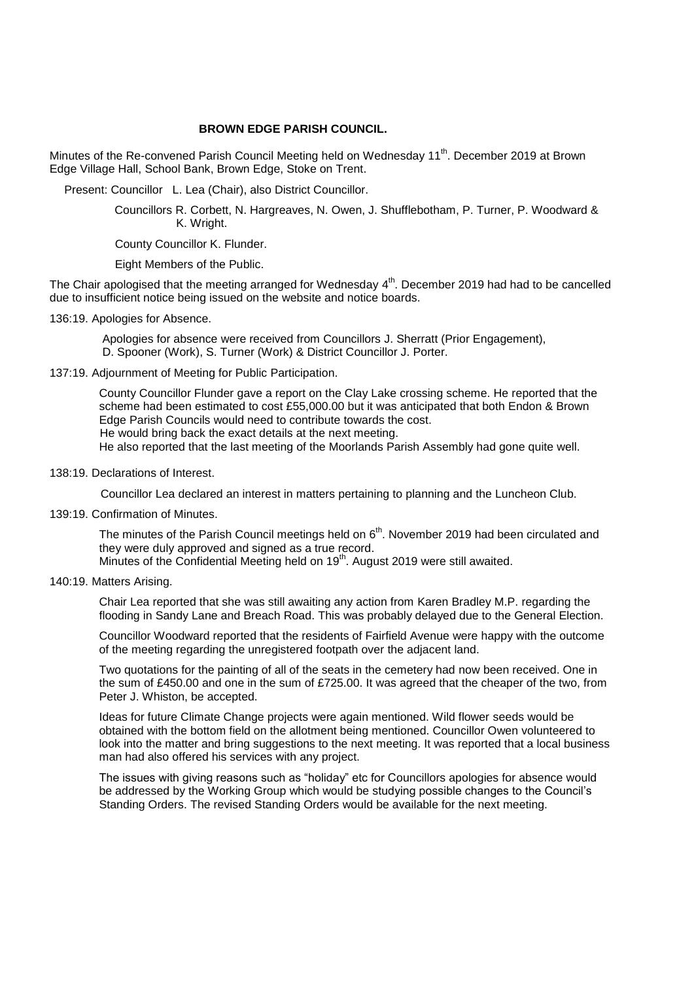# **BROWN EDGE PARISH COUNCIL.**

Minutes of the Re-convened Parish Council Meeting held on Wednesday 11<sup>th</sup>. December 2019 at Brown Edge Village Hall, School Bank, Brown Edge, Stoke on Trent.

Present: Councillor L. Lea (Chair), also District Councillor.

 Councillors R. Corbett, N. Hargreaves, N. Owen, J. Shufflebotham, P. Turner, P. Woodward & K. Wright.

County Councillor K. Flunder.

Eight Members of the Public.

The Chair apologised that the meeting arranged for Wednesday 4<sup>th</sup>. December 2019 had had to be cancelled due to insufficient notice being issued on the website and notice boards.

136:19. Apologies for Absence.

Apologies for absence were received from Councillors J. Sherratt (Prior Engagement), D. Spooner (Work), S. Turner (Work) & District Councillor J. Porter.

137:19. Adjournment of Meeting for Public Participation.

County Councillor Flunder gave a report on the Clay Lake crossing scheme. He reported that the scheme had been estimated to cost £55,000.00 but it was anticipated that both Endon & Brown Edge Parish Councils would need to contribute towards the cost. He would bring back the exact details at the next meeting.

He also reported that the last meeting of the Moorlands Parish Assembly had gone quite well.

138:19. Declarations of Interest.

Councillor Lea declared an interest in matters pertaining to planning and the Luncheon Club.

139:19. Confirmation of Minutes.

The minutes of the Parish Council meetings held on  $6<sup>th</sup>$ . November 2019 had been circulated and they were duly approved and signed as a true record.

Minutes of the Confidential Meeting held on 19<sup>th</sup>. August 2019 were still awaited.

140:19. Matters Arising.

Chair Lea reported that she was still awaiting any action from Karen Bradley M.P. regarding the flooding in Sandy Lane and Breach Road. This was probably delayed due to the General Election.

 Councillor Woodward reported that the residents of Fairfield Avenue were happy with the outcome of the meeting regarding the unregistered footpath over the adjacent land.

Two quotations for the painting of all of the seats in the cemetery had now been received. One in the sum of £450.00 and one in the sum of £725.00. It was agreed that the cheaper of the two, from Peter J. Whiston, be accepted.

Ideas for future Climate Change projects were again mentioned. Wild flower seeds would be obtained with the bottom field on the allotment being mentioned. Councillor Owen volunteered to look into the matter and bring suggestions to the next meeting. It was reported that a local business man had also offered his services with any project.

The issues with giving reasons such as "holiday" etc for Councillors apologies for absence would be addressed by the Working Group which would be studying possible changes to the Council's Standing Orders. The revised Standing Orders would be available for the next meeting.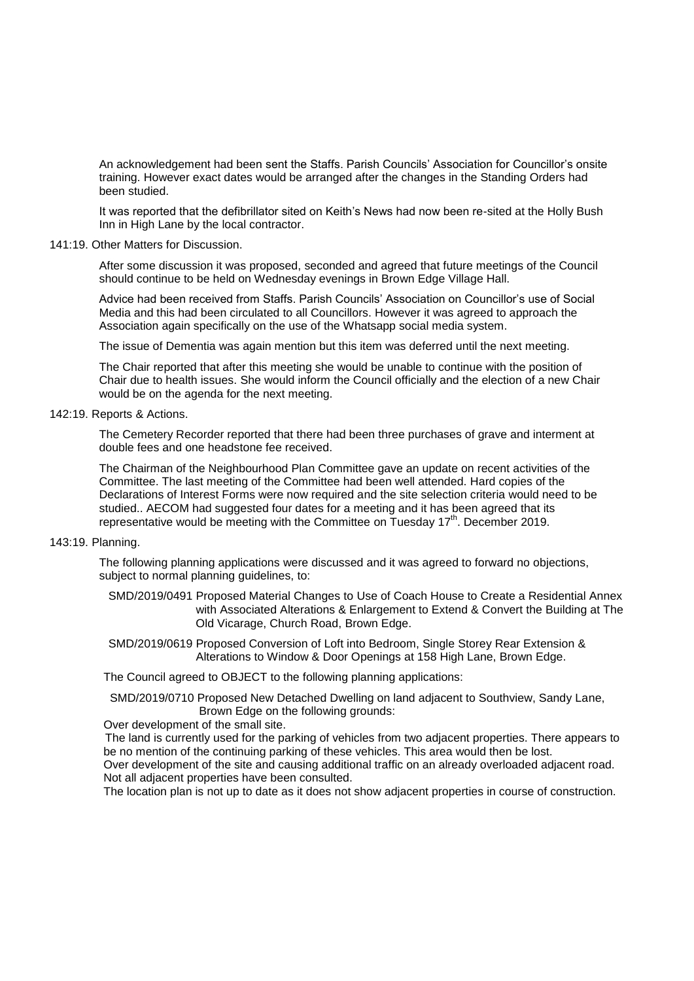An acknowledgement had been sent the Staffs. Parish Councils' Association for Councillor's onsite training. However exact dates would be arranged after the changes in the Standing Orders had been studied.

It was reported that the defibrillator sited on Keith's News had now been re-sited at the Holly Bush Inn in High Lane by the local contractor.

### 141:19. Other Matters for Discussion.

After some discussion it was proposed, seconded and agreed that future meetings of the Council should continue to be held on Wednesday evenings in Brown Edge Village Hall.

Advice had been received from Staffs. Parish Councils' Association on Councillor's use of Social Media and this had been circulated to all Councillors. However it was agreed to approach the Association again specifically on the use of the Whatsapp social media system.

The issue of Dementia was again mention but this item was deferred until the next meeting.

The Chair reported that after this meeting she would be unable to continue with the position of Chair due to health issues. She would inform the Council officially and the election of a new Chair would be on the agenda for the next meeting.

## 142:19. Reports & Actions.

The Cemetery Recorder reported that there had been three purchases of grave and interment at double fees and one headstone fee received.

The Chairman of the Neighbourhood Plan Committee gave an update on recent activities of the Committee. The last meeting of the Committee had been well attended. Hard copies of the Declarations of Interest Forms were now required and the site selection criteria would need to be studied.. AECOM had suggested four dates for a meeting and it has been agreed that its representative would be meeting with the Committee on Tuesday  $17<sup>th</sup>$ . December 2019.

#### 143:19. Planning.

The following planning applications were discussed and it was agreed to forward no objections, subject to normal planning guidelines, to:

- SMD/2019/0491 Proposed Material Changes to Use of Coach House to Create a Residential Annex with Associated Alterations & Enlargement to Extend & Convert the Building at The Old Vicarage, Church Road, Brown Edge.
- SMD/2019/0619 Proposed Conversion of Loft into Bedroom, Single Storey Rear Extension & Alterations to Window & Door Openings at 158 High Lane, Brown Edge.

The Council agreed to OBJECT to the following planning applications:

 SMD/2019/0710 Proposed New Detached Dwelling on land adjacent to Southview, Sandy Lane, Brown Edge on the following grounds:

Over development of the small site.

 The land is currently used for the parking of vehicles from two adjacent properties. There appears to be no mention of the continuing parking of these vehicles. This area would then be lost.

Over development of the site and causing additional traffic on an already overloaded adjacent road. Not all adjacent properties have been consulted.

The location plan is not up to date as it does not show adjacent properties in course of construction.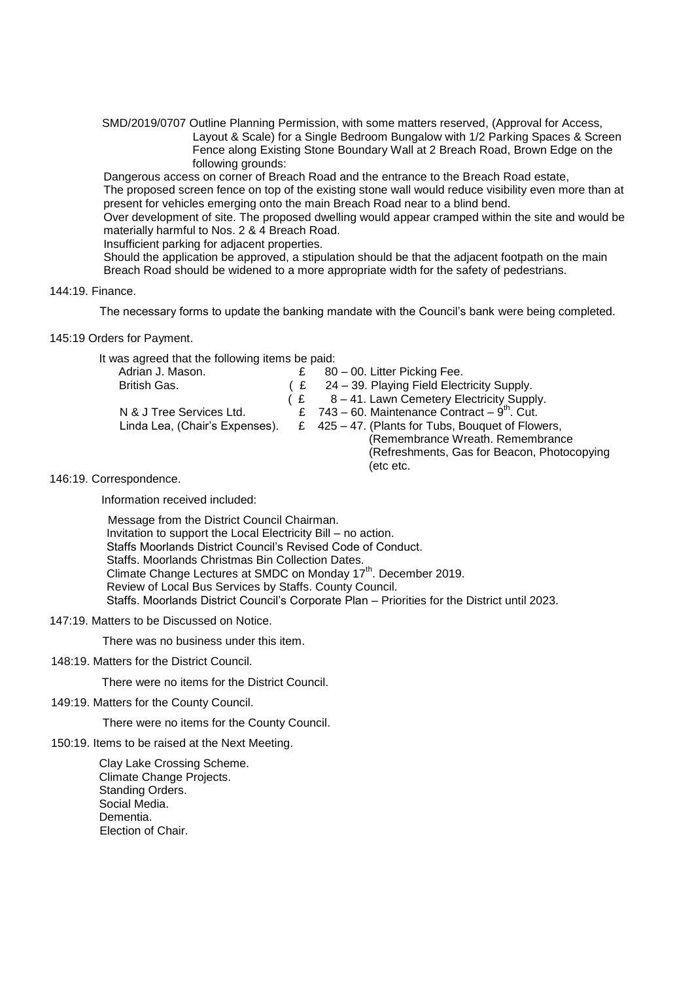SMD/2019/0707 Outline Planning Permission, with some matters reserved, (Approval for Access, Layout & Scale) for a Single Bedroom Bungalow with 1/2 Parking Spaces & Screen Fence along Existing Stone Boundary Wall at 2 Breach Road, Brown Edge on the following grounds:

Dangerous access on corner of Breach Road and the entrance to the Breach Road estate, The proposed screen fence on top of the existing stone wall would reduce visibility even more than at present for vehicles emerging onto the main Breach Road near to a blind bend.

Over development of site. The proposed dwelling would appear cramped within the site and would be materially harmful to Nos. 2 & 4 Breach Road.

Insufficient parking for adjacent properties.

Should the application be approved, a stipulation should be that the adjacent footpath on the main Breach Road should be widened to a more appropriate width for the safety of pedestrians.

## 144:19. Finance.

The necessary forms to update the banking mandate with the Council's bank were being completed.

145:19 Orders for Payment.

It was agreed that the following items be paid:

| Adrian J. Mason.               | £  | 80 - 00. Litter Picking Fee.                                  |
|--------------------------------|----|---------------------------------------------------------------|
| British Gas.                   | (£ | 24 – 39. Playing Field Electricity Supply.                    |
|                                |    | $E = 8 - 41$ . Lawn Cemetery Electricity Supply.              |
| N & J Tree Services Ltd.       |    | £ $743 - 60$ . Maintenance Contract $-9$ <sup>th</sup> . Cut. |
| Linda Lea, (Chair's Expenses). |    | £ 425 – 47. (Plants for Tubs, Bouquet of Flowers,             |
|                                |    | (Remembrance Wreath. Remembrance                              |
|                                |    | (Refreshments, Gas for Beacon, Photocopying                   |
|                                |    | (etc etc.                                                     |
|                                |    |                                                               |

146:19. Correspondence.

Information received included:

 Message from the District Council Chairman. Invitation to support the Local Electricity Bill – no action. Staffs Moorlands District Council's Revised Code of Conduct. Staffs. Moorlands Christmas Bin Collection Dates. Climate Change Lectures at SMDC on Monday 17<sup>th</sup>. December 2019. Review of Local Bus Services by Staffs. County Council. Staffs. Moorlands District Council's Corporate Plan – Priorities for the District until 2023.

147:19. Matters to be Discussed on Notice.

There was no business under this item.

148:19. Matters for the District Council.

There were no items for the District Council.

149:19. Matters for the County Council.

There were no items for the County Council.

150:19. Items to be raised at the Next Meeting.

Clay Lake Crossing Scheme. Climate Change Projects. Standing Orders. Social Media. Dementia. Election of Chair.